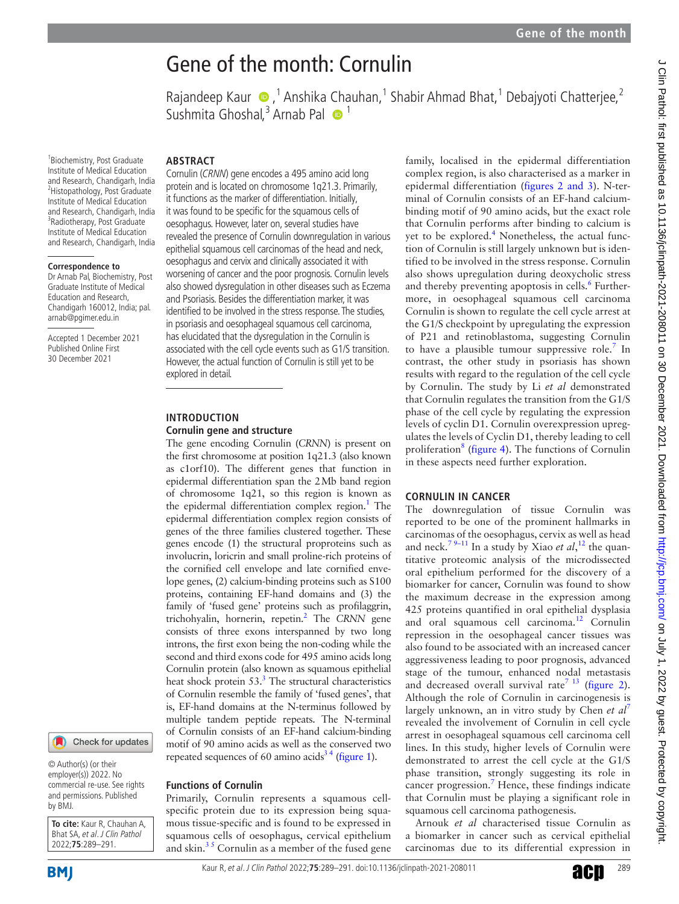# Rajandeep Kaur (D, <sup>1</sup> Anshika Chauhan, <sup>1</sup> Shabir Ahmad Bhat, <sup>1</sup> Debajyoti Chatterjee, <sup>2</sup> family, localised in the epidermal differentiation complex region, is also characterised as a marker in epidermal differentiation (figures [2 and 3\)](#page-1-1). N-terminal of Cornulin consists of an EF-hand calciumbinding motif of 90 amino acids, but the exact role that Cornulin performs after binding to calcium is yet to be explored.<sup>[4](#page-2-3)</sup> Nonetheless, the actual function of Cornulin is still largely unknown but is identified to be involved in the stress response. Cornulin also shows upregulation during deoxycholic stress and thereby preventing apoptosis in cells.<sup>[6](#page-2-4)</sup> Furthermore, in oesophageal squamous cell carcinoma Cornulin is shown to regulate the cell cycle arrest at the G1/S checkpoint by upregulating the expression of P21 and retinoblastoma, suggesting Cornulin to have a plausible tumour suppressive role.<sup>[7](#page-2-5)</sup> In contrast, the other study in psoriasis has shown results with regard to the regulation of the cell cycle by Cornulin. The study by Li *et al* demonstrated that Cornulin regulates the transition from the G1/S phase of the cell cycle by regulating the expression levels of cyclin D1. Cornulin overexpression upregulates the levels of Cyclin D1, thereby leading to cell proliferation<sup>[8](#page-2-6)</sup> [\(figure](#page-1-2) 4). The functions of Cornulin in these aspects need further exploration.

## **CORNULIN IN CANCER**

The downregulation of tissue Cornulin was reported to be one of the prominent hallmarks in carcinomas of the oesophagus, cervix as well as head and neck.<sup>79–11</sup> In a study by Xiao *et al*,<sup>12</sup> the quantitative proteomic analysis of the microdissected oral epithelium performed for the discovery of a biomarker for cancer, Cornulin was found to show the maximum decrease in the expression among 425 proteins quantified in oral epithelial dysplasia and oral squamous cell carcinoma[.12](#page-2-7) Cornulin repression in the oesophageal cancer tissues was also found to be associated with an increased cancer aggressiveness leading to poor prognosis, advanced stage of the tumour, enhanced nodal metastasis and decreased overall survival rate<sup>7 13</sup> ([figure](#page-1-1) 2). Although the role of Cornulin in carcinogenesis is largely unknown, an in vitro study by Chen *et al*[7](#page-2-5) revealed the involvement of Cornulin in cell cycle arrest in oesophageal squamous cell carcinoma cell lines. In this study, higher levels of Cornulin were demonstrated to arrest the cell cycle at the G1/S phase transition, strongly suggesting its role in cancer progression.<sup>[7](#page-2-5)</sup> Hence, these findings indicate that Cornulin must be playing a significant role in squamous cell carcinoma pathogenesis.

Arnouk *et al* characterised tissue Cornulin as a biomarker in cancer such as cervical epithelial carcinomas due to its differential expression in

1 Biochemistry, Post Graduate Institute of Medical Education and Research, Chandigarh, India 2 Histopathology, Post Graduate Institute of Medical Education and Research, Chandigarh, India 3 Radiotherapy, Post Graduate Institute of Medical Education and Research, Chandigarh, India

#### **Correspondence to**

Dr Arnab Pal, Biochemistry, Post Graduate Institute of Medical Education and Research, Chandigarh 160012, India; pal. arnab@pgimer.edu.in

Accepted 1 December 2021 Published Online First 30 December 2021

## Check for updates

© Author(s) (or their employer(s)) 2022. No commercial re-use. See rights and permissions. Published by BMJ.

**To cite:** Kaur R, Chauhan A, Bhat SA, et al. J Clin Pathol 2022;**75**:289–291.

**BMI** 

# **ABSTRACT**

Cornulin (CRNN) gene encodes a 495 amino acid long protein and is located on chromosome 1q21.3. Primarily, it functions as the marker of differentiation. Initially, it was found to be specific for the squamous cells of oesophagus. However, later on, several studies have revealed the presence of Cornulin downregulation in various epithelial squamous cell carcinomas of the head and neck, oesophagus and cervix and clinically associated it with worsening of cancer and the poor prognosis. Cornulin levels also showed dysregulation in other diseases such as Eczema and Psoriasis. Besides the differentiation marker, it was identified to be involved in the stress response. The studies, in psoriasis and oesophageal squamous cell carcinoma, has elucidated that the dysregulation in the Cornulin is associated with the cell cycle events such as G1/S transition. However, the actual function of Cornulin is still yet to be explored in detail.

Gene of the month: Cornulin

Sushmita Ghoshal,<sup>3</sup> Arnab Pal <sup>1</sup>

# **INTRODUCTION**

#### **Cornulin gene and structure**

The gene encoding Cornulin (*CRNN*) is present on the first chromosome at position 1q21.3 (also known as c1orf10). The different genes that function in epidermal differentiation span the 2Mb band region of chromosome 1q21, so this region is known as the epidermal differentiation complex region.<sup>1</sup> The epidermal differentiation complex region consists of genes of the three families clustered together. These genes encode (1) the structural proproteins such as involucrin, loricrin and small proline-rich proteins of the cornified cell envelope and late cornified envelope genes, (2) calcium-binding proteins such as S100 proteins, containing EF-hand domains and (3) the family of 'fused gene' proteins such as profilaggrin, trichohyalin, hornerin, repetin[.2](#page-2-1) The *CRNN* gene consists of three exons interspanned by two long introns, the first exon being the non-coding while the second and third exons code for 495 amino acids long Cornulin protein (also known as squamous epithelial heat shock protein 53.<sup>3</sup> The structural characteristics of Cornulin resemble the family of 'fused genes', that is, EF-hand domains at the N-terminus followed by multiple tandem peptide repeats. The N-terminal of Cornulin consists of an EF-hand calcium-binding motif of 90 amino acids as well as the conserved two repeated sequences of 60 amino acids<sup>34</sup> [\(figure](#page-1-0) 1).

**Functions of Cornulin**

Primarily, Cornulin represents a squamous cellspecific protein due to its expression being squamous tissue-specific and is found to be expressed in squamous cells of oesophagus, cervical epithelium and skin. $3<sup>5</sup>$  Cornulin as a member of the fused gene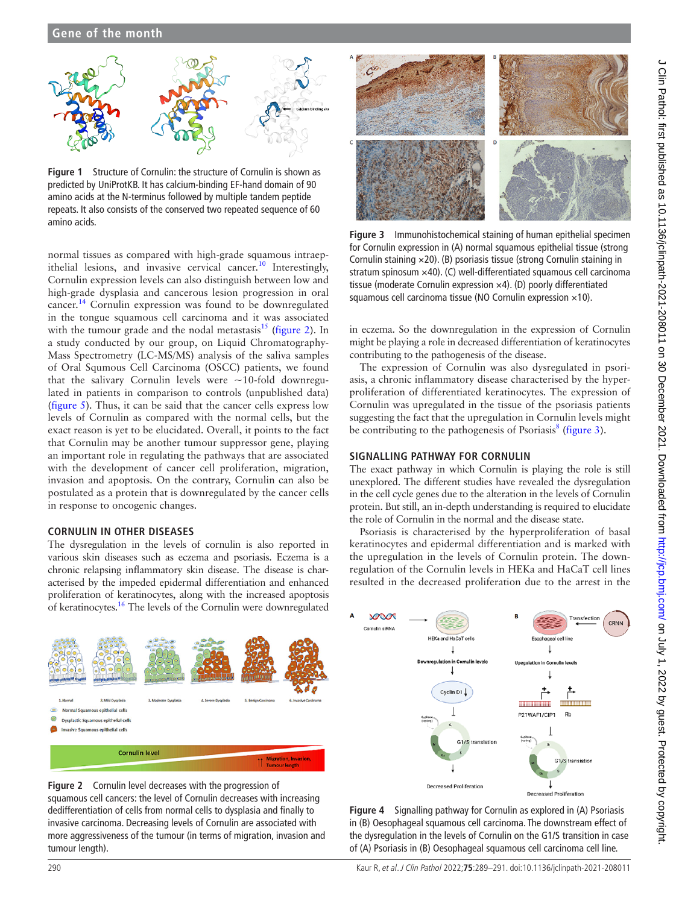## **Gene of the month**



<span id="page-1-0"></span>**Figure 1** Structure of Cornulin: the structure of Cornulin is shown as predicted by UniProtKB. It has calcium-binding EF-hand domain of 90 amino acids at the N-terminus followed by multiple tandem peptide repeats. It also consists of the conserved two repeated sequence of 60 amino acids.

normal tissues as compared with high-grade squamous intraep-ithelial lesions, and invasive cervical cancer.<sup>[10](#page-2-8)</sup> Interestingly, Cornulin expression levels can also distinguish between low and high-grade dysplasia and cancerous lesion progression in oral cancer.[14](#page-2-9) Cornulin expression was found to be downregulated in the tongue squamous cell carcinoma and it was associated with the tumour grade and the nodal metastasis $^{15}$  ([figure](#page-1-1) 2). In a study conducted by our group, on Liquid Chromatography-Mass Spectrometry (LC-MS/MS) analysis of the saliva samples of Oral Squmous Cell Carcinoma (OSCC) patients, we found that the salivary Cornulin levels were  $\sim$ 10-fold downregulated in patients in comparison to controls (unpublished data) ([figure](#page-2-11) 5). Thus, it can be said that the cancer cells express low levels of Cornulin as compared with the normal cells, but the exact reason is yet to be elucidated. Overall, it points to the fact that Cornulin may be another tumour suppressor gene, playing an important role in regulating the pathways that are associated with the development of cancer cell proliferation, migration, invasion and apoptosis. On the contrary, Cornulin can also be postulated as a protein that is downregulated by the cancer cells in response to oncogenic changes.

### **CORNULIN IN OTHER DISEASES**

The dysregulation in the levels of cornulin is also reported in various skin diseases such as eczema and psoriasis. Eczema is a chronic relapsing inflammatory skin disease. The disease is characterised by the impeded epidermal differentiation and enhanced proliferation of keratinocytes, along with the increased apoptosis of keratinocytes[.16](#page-2-12) The levels of the Cornulin were downregulated



<span id="page-1-1"></span>



<span id="page-1-3"></span>**Figure 3** Immunohistochemical staining of human epithelial specimen for Cornulin expression in (A) normal squamous epithelial tissue (strong Cornulin staining ×20). (B) psoriasis tissue (strong Cornulin staining in stratum spinosum ×40). (C) well-differentiated squamous cell carcinoma tissue (moderate Cornulin expression ×4). (D) poorly differentiated squamous cell carcinoma tissue (NO Cornulin expression ×10).

in eczema. So the downregulation in the expression of Cornulin might be playing a role in decreased differentiation of keratinocytes contributing to the pathogenesis of the disease.

The expression of Cornulin was also dysregulated in psoriasis, a chronic inflammatory disease characterised by the hyperproliferation of differentiated keratinocytes. The expression of Cornulin was upregulated in the tissue of the psoriasis patients suggesting the fact that the upregulation in Cornulin levels might be contributing to the pathogenesis of Psoriasis<sup>[8](#page-2-6)</sup> ([figure](#page-1-3) 3).

### **SIGNALLING PATHWAY FOR CORNULIN**

The exact pathway in which Cornulin is playing the role is still unexplored. The different studies have revealed the dysregulation in the cell cycle genes due to the alteration in the levels of Cornulin protein. But still, an in-depth understanding is required to elucidate the role of Cornulin in the normal and the disease state.

Psoriasis is characterised by the hyperproliferation of basal keratinocytes and epidermal differentiation and is marked with the upregulation in the levels of Cornulin protein. The downregulation of the Cornulin levels in HEKa and HaCaT cell lines resulted in the decreased proliferation due to the arrest in the



<span id="page-1-2"></span>**Figure 4** Signalling pathway for Cornulin as explored in (A) Psoriasis in (B) Oesophageal squamous cell carcinoma. The downstream effect of the dysregulation in the levels of Cornulin on the G1/S transition in case of (A) Psoriasis in (B) Oesophageal squamous cell carcinoma cell line.